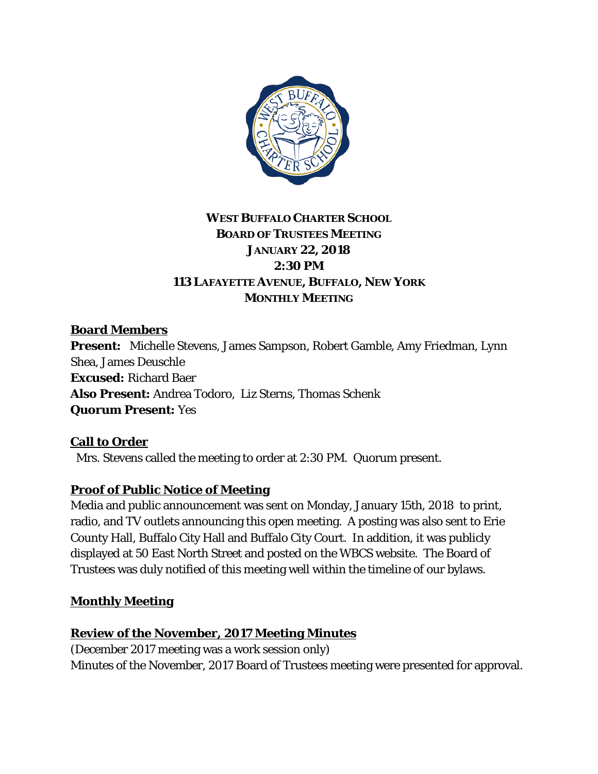

# **WEST BUFFALO CHARTER SCHOOL BOARD OF TRUSTEES MEETING JANUARY 22, 2018 2:30 PM 113 LAFAYETTE AVENUE, BUFFALO, NEW YORK MONTHLY MEETING**

# **Board Members**

**Present:** Michelle Stevens, James Sampson, Robert Gamble, Amy Friedman, Lynn Shea, James Deuschle **Excused:** Richard Baer **Also Present:** Andrea Todoro, Liz Sterns, Thomas Schenk **Quorum Present:** Yes

### **Call to Order**

Mrs. Stevens called the meeting to order at 2:30 PM. Quorum present.

# **Proof of Public Notice of Meeting**

Media and public announcement was sent on Monday, January 15th, 2018 to print, radio, and TV outlets announcing this open meeting. A posting was also sent to Erie County Hall, Buffalo City Hall and Buffalo City Court. In addition, it was publicly displayed at 50 East North Street and posted on the WBCS website. The Board of Trustees was duly notified of this meeting well within the timeline of our bylaws.

### **Monthly Meeting**

### **Review of the November, 2017 Meeting Minutes**

(December 2017 meeting was a work session only) Minutes of the November, 2017 Board of Trustees meeting were presented for approval.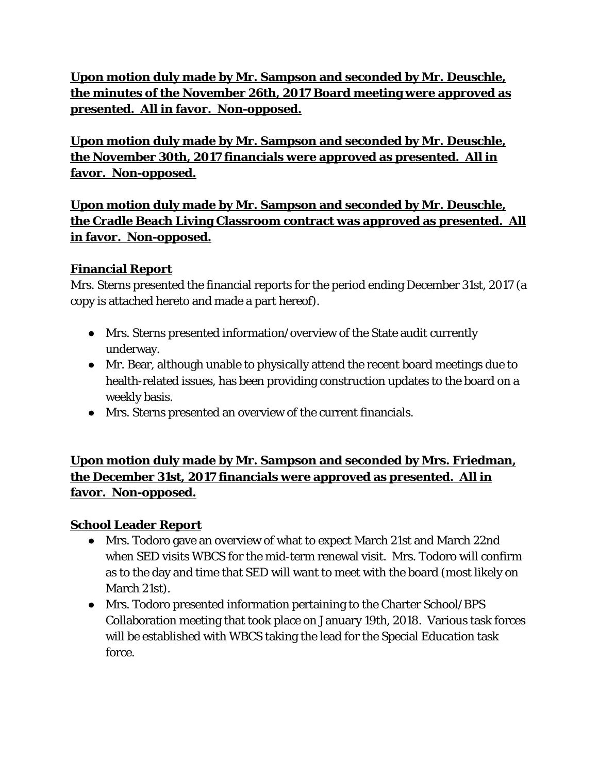**Upon motion duly made by Mr. Sampson and seconded by Mr. Deuschle, the minutes of the November 26th, 2017 Board meeting were approved as presented. All in favor. Non-opposed.**

**Upon motion duly made by Mr. Sampson and seconded by Mr. Deuschle, the November 30th, 2017 financials were approved as presented. All in favor. Non-opposed.**

**Upon motion duly made by Mr. Sampson and seconded by Mr. Deuschle, the Cradle Beach Living Classroom contract was approved as presented. All in favor. Non-opposed.**

### **Financial Report**

Mrs. Sterns presented the financial reports for the period ending December 31st, 2017 (a copy is attached hereto and made a part hereof).

- Mrs. Sterns presented information/overview of the State audit currently underway.
- Mr. Bear, although unable to physically attend the recent board meetings due to health-related issues, has been providing construction updates to the board on a weekly basis.
- Mrs. Sterns presented an overview of the current financials.

**Upon motion duly made by Mr. Sampson and seconded by Mrs. Friedman, the December 31st, 2017 financials were approved as presented. All in favor. Non-opposed.**

# **School Leader Report**

- Mrs. Todoro gave an overview of what to expect March 21st and March 22nd when SED visits WBCS for the mid-term renewal visit. Mrs. Todoro will confirm as to the day and time that SED will want to meet with the board (most likely on March 21st).
- Mrs. Todoro presented information pertaining to the Charter School/BPS Collaboration meeting that took place on January 19th, 2018. Various task forces will be established with WBCS taking the lead for the Special Education task force.